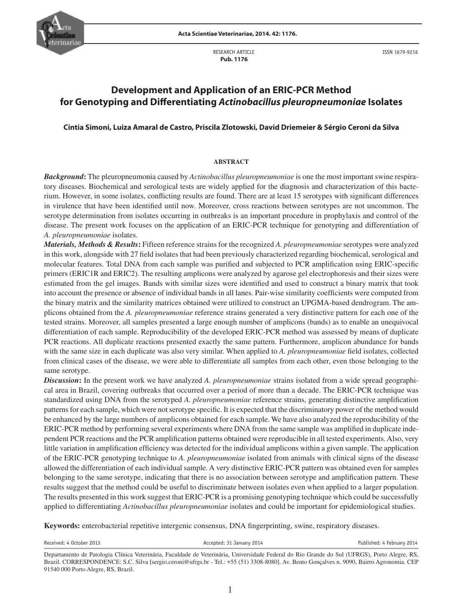RESEARCH ARTICLE  **Pub. 1176**

ISSN 1679-9216

# **Development and Application of an ERIC-PCR Method for Genotyping and Differentiating Actinobacillus pleuropneumoniae Isolates**

# **Cintia Simoni, Luiza Amaral de Castro, Priscila Zlotowski, David Driemeier & Sérgio Ceroni da Silva**

#### **ABSTRACT**

*Background***:** The pleuropneumonia caused by *Actinobacillus pleuropneumoniae* is one the most important swine respiratory diseases. Biochemical and serological tests are widely applied for the diagnosis and characterization of this bacterium. However, in some isolates, conflicting results are found. There are at least 15 serotypes with significant differences in virulence that have been identified until now. Moreover, cross reactions between serotypes are not uncommon. The serotype determination from isolates occurring in outbreaks is an important procedure in prophylaxis and control of the disease. The present work focuses on the application of an ERIC-PCR technique for genotyping and differentiation of *A. pleuropneumoniae* isolates.

*Materials, Methods & Results***:** Fifteen reference strains for the recognized *A. pleuropneumoniae* serotypes were analyzed in this work, alongside with 27 field isolates that had been previously characterized regarding biochemical, serological and molecular features. Total DNA from each sample was purified and subjected to PCR amplification using ERIC-specific primers (ERIC1R and ERIC2). The resulting amplicons were analyzed by agarose gel electrophoresis and their sizes were estimated from the gel images. Bands with similar sizes were identified and used to construct a binary matrix that took into account the presence or absence of individual bands in all lanes. Pair-wise similarity coefficients were computed from the binary matrix and the similarity matrices obtained were utilized to construct an UPGMA-based dendrogram. The amplicons obtained from the *A. pleuropneumoniae* reference strains generated a very distinctive pattern for each one of the tested strains. Moreover, all samples presented a large enough number of amplicons (bands) as to enable an unequivocal differentiation of each sample. Reproducibility of the developed ERIC-PCR method was assessed by means of duplicate PCR reactions. All duplicate reactions presented exactly the same pattern. Furthermore, amplicon abundance for bands with the same size in each duplicate was also very similar. When applied to *A. pleuropneumoniae* field isolates, collected from clinical cases of the disease, we were able to differentiate all samples from each other, even those belonging to the same serotype.

*Discussion***:** In the present work we have analyzed *A. pleuropneumoniae* strains isolated from a wide spread geographical area in Brazil, covering outbreaks that occurred over a period of more than a decade. The ERIC-PCR technique was standardized using DNA from the serotyped *A. pleuropneumoniae* reference strains, generating distinctive amplification patterns for each sample, which were not serotype specific. It is expected that the discriminatory power of the method would be enhanced by the large numbers of amplicons obtained for each sample. We have also analyzed the reproducibility of the ERIC-PCR method by performing several experiments where DNA from the same sample was amplified in duplicate independent PCR reactions and the PCR amplification patterns obtained were reproducible in all tested experiments. Also, very little variation in amplification efficiency was detected for the individual amplicons within a given sample. The application of the ERIC-PCR genotyping technique to *A. pleuropneumoniae* isolated from animals with clinical signs of the disease allowed the differentiation of each individual sample. A very distinctive ERIC-PCR pattern was obtained even for samples belonging to the same serotype, indicating that there is no association between serotype and amplification pattern. These results suggest that the method could be useful to discriminate between isolates even when applied to a larger population. The results presented in this work suggest that ERIC-PCR is a promising genotyping technique which could be successfully applied to differentiating *Actinobacillus pleuropneumoniae* isolates and could be important for epidemiological studies.

**Keywords:** enterobacterial repetitive intergenic consensus, DNA fingerprinting, swine, respiratory diseases.

Received: 4 October 2013 **Accepted: 31 January 2014** Published: 4 February 2014 Published: 4 February 2014

Departamento de Patologia Clínica Veterinária, Faculdade de Veterinária, Universidade Federal do Rio Grande do Sul (UFRGS), Porto Alegre, RS, Brazil. CORRESPONDENCE: S.C. Silva [sergio.ceroni@ufrgs.br - Tel.: +55 (51) 3308-8080]. Av. Bento Gonçalves n. 9090, Bairro Agronomia. CEP 91540 000 Porto Alegre, RS, Brazil.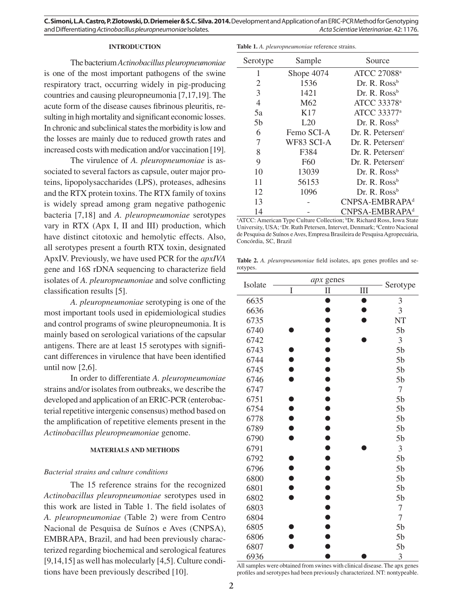#### **INTRODUCTION**

The bacterium *Actinobacillus pleuropneumoniae* is one of the most important pathogens of the swine respiratory tract, occurring widely in pig-producing countries and causing pleuropneumonia [7,17,19]. The acute form of the disease causes fibrinous pleuritis, resulting in high mortality and significant economic losses. In chronic and subclinical states the morbidity is low and the losses are mainly due to reduced growth rates and increased costs with medication and/or vaccination [19].

The virulence of *A. pleuropneumoniae* is associated to several factors as capsule, outer major proteins, lipopolysaccharides (LPS), proteases, adhesins and the RTX protein toxins. The RTX family of toxins is widely spread among gram negative pathogenic bacteria [7,18] and *A. pleuropneumoniae* serotypes vary in RTX (Apx I, II and III) production, which have distinct citotoxic and hemolytic effects. Also, all serotypes present a fourth RTX toxin, designated ApxIV. Previously, we have used PCR for the *apxIVA* gene and 16S rDNA sequencing to characterize field isolates of *A. pleuropneumoniae* and solve conflicting classification results [5].

*A. pleuropneumoniae* serotyping is one of the most important tools used in epidemiological studies and control programs of swine pleuropneumonia. It is mainly based on serological variations of the capsular antigens. There are at least 15 serotypes with significant differences in virulence that have been identified until now [2,6].

In order to differentiate *A. pleuropneumoniae* strains and/or isolates from outbreaks, we describe the developed and application of an ERIC-PCR (enterobacterial repetitive intergenic consensus) method based on the amplification of repetitive elements present in the *Actinobacillus pleuropneumoniae* genome.

### **MATERIALS AND METHODS**

## *Bacterial strains and culture conditions*

The 15 reference strains for the recognized *Actinobacillus pleuropneumoniae* serotypes used in this work are listed in Table 1. The field isolates of *A. pleuropneumoniae* (Table 2) were from Centro Nacional de Pesquisa de Suínos e Aves (CNPSA), EMBRAPA, Brazil, and had been previously characterized regarding biochemical and serological features [9,14,15] as well has molecularly [4,5]. Culture conditions have been previously described [10].

|  | Table 1. A. pleuropneumoniae reference strains. |  |  |
|--|-------------------------------------------------|--|--|
|--|-------------------------------------------------|--|--|

| Serotype       | Sample          | Source                       |  |
|----------------|-----------------|------------------------------|--|
| 1              | Shope 4074      | ATCC 27088 <sup>a</sup>      |  |
| 2              | 1536            | Dr. R. Ross <sup>b</sup>     |  |
| 3              | 1421            | Dr. R. Ross <sup>b</sup>     |  |
| $\overline{4}$ | M62             | ATCC 33378 <sup>a</sup>      |  |
| 5a             | K17             | ATCC 33377 <sup>a</sup>      |  |
| 5 <sub>b</sub> | L20             | Dr. R. Ross <sup>b</sup>     |  |
| 6              | Femo SCI-A      | Dr. R. Petersen <sup>c</sup> |  |
| 7              | WF83 SCI-A      | Dr. R. Petersen <sup>c</sup> |  |
| 8              | F384            | Dr. R. Petersen <sup>c</sup> |  |
| 9              | F <sub>60</sub> | Dr. R. Petersen <sup>c</sup> |  |
| 10             | 13039           | Dr. R. Ross <sup>b</sup>     |  |
| 11             | 56153           | Dr. R. Ross <sup>b</sup>     |  |
| 12             | 1096            | Dr. R. Ross <sup>b</sup>     |  |
| 13             |                 | CNPSA-EMBRAPA <sup>d</sup>   |  |
| 14             |                 | CNPSA-EMBRAPA <sup>d</sup>   |  |

<sup>a</sup> ATCC: American Type Culture Collection; <sup>b</sup>Dr. Richard Ross, Iowa State University, USA; <sup>c</sup>Dr. Ruth Petersen, Intervet, Denmark; <sup>d</sup>Centro Nacional de Pesquisa de Suínos e Aves, Empresa Brasileira de Pesquisa Agropecuária, Concórdia, SC, Brazil

Table 2. *A. pleuropneumoniae* field isolates, apx genes profiles and serotypes.

| Isolate |   | apx genes            |           |                  |
|---------|---|----------------------|-----------|------------------|
|         | I | $\mathbf{I}$         | $\rm III$ | Serotype         |
| 6635    |   |                      |           | $\mathfrak{Z}$   |
| 6636    |   |                      |           | 3                |
| 6735    |   |                      |           | NT               |
| 6740    |   |                      |           | 5 <sub>b</sub>   |
| 6742    |   |                      |           | 3                |
| 6743    |   |                      |           | 5 <sub>b</sub>   |
| 6744    |   |                      |           | 5 <sub>b</sub>   |
| 6745    |   | $\overline{\bullet}$ |           | 5 <sub>b</sub>   |
| 6746    |   | .<br>O               |           | 5 <sub>b</sub>   |
| 6747    |   | ó                    |           | $\boldsymbol{7}$ |
| 6751    |   | $\bullet$            |           | 5 <sub>b</sub>   |
| 6754    |   | Ő                    |           | 5 <sub>b</sub>   |
| 6778    |   |                      |           | 5 <sub>b</sub>   |
| 6789    |   |                      |           | 5 <sub>b</sub>   |
| 6790    |   |                      |           | 5 <sub>b</sub>   |
| 6791    |   |                      |           | 3                |
| 6792    |   |                      |           | 5 <sub>b</sub>   |
| 6796    |   |                      |           | 5 <sub>b</sub>   |
| 6800    |   |                      |           | 5 <sub>b</sub>   |
| 6801    |   |                      |           | 5 <sub>b</sub>   |
| 6802    |   |                      |           | 5 <sub>b</sub>   |
| 6803    |   | $\bullet$            |           | $\tau$           |
| 6804    |   | Ď                    |           | 7                |
| 6805    |   |                      |           | 5 <sub>b</sub>   |
| 6806    |   |                      |           | 5 <sub>b</sub>   |
| 6807    |   |                      |           | 5 <sub>b</sub>   |
| 6936    |   |                      |           | 3                |

All samples were obtained from swines with clinical disease. The apx genes profiles and serotypes had been previously characterized. NT: nontypeable.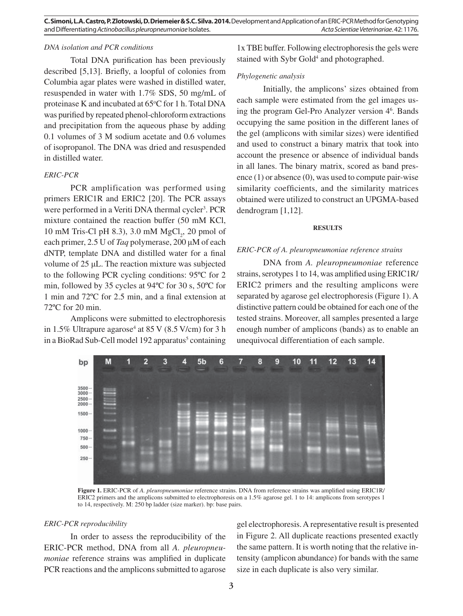# *DNA isolation and PCR conditions*

Total DNA purification has been previously described  $[5,13]$ . Briefly, a loopful of colonies from Columbia agar plates were washed in distilled water, resuspended in water with 1.7% SDS, 50 mg/mL of proteinase K and incubated at 65°C for 1 h. Total DNA was purified by repeated phenol-chloroform extractions and precipitation from the aqueous phase by adding 0.1 volumes of 3 M sodium acetate and 0.6 volumes of isopropanol. The DNA was dried and resuspended in distilled water.

# *ERIC-PCR*

PCR amplification was performed using primers ERIC1R and ERIC2 [20]. The PCR assays were performed in a Veriti DNA thermal cycler<sup>3</sup>. PCR mixture contained the reaction buffer (50 mM KCl, 10 mM Tris-Cl pH 8.3), 3.0 mM  $MgCl_2$ , 20 pmol of each primer, 2.5 U of *Taq* polymerase, 200 μM of each dNTP, template DNA and distilled water for a final volume of 25 μL. The reaction mixture was subjected to the following PCR cycling conditions: 95ºC for 2 min, followed by 35 cycles at 94ºC for 30 s, 50ºC for 1 min and  $72^{\circ}$ C for 2.5 min, and a final extension at 72ºC for 20 min.

Amplicons were submitted to electrophoresis in 1.5% Ultrapure agarose<sup>4</sup> at 85 V (8.5 V/cm) for 3 h in a BioRad Sub-Cell model 192 apparatus<sup>5</sup> containing 1x TBE buffer. Following electrophoresis the gels were stained with Sybr Gold<sup>4</sup> and photographed.

#### *Phylogenetic analysis*

Initially, the amplicons' sizes obtained from each sample were estimated from the gel images using the program Gel-Pro Analyzer version 46 . Bands occupying the same position in the different lanes of the gel (amplicons with similar sizes) were identified and used to construct a binary matrix that took into account the presence or absence of individual bands in all lanes. The binary matrix, scored as band presence  $(1)$  or absence  $(0)$ , was used to compute pair-wise similarity coefficients, and the similarity matrices obtained were utilized to construct an UPGMA-based dendrogram [1,12].

#### **RESULTS**

#### *ERIC-PCR of A. pleuropneumoniae reference strains*

DNA from *A. pleuropneumoniae* reference strains, serotypes 1 to 14, was amplified using ERIC1R/ ERIC2 primers and the resulting amplicons were separated by agarose gel electrophoresis (Figure 1). A distinctive pattern could be obtained for each one of the tested strains. Moreover, all samples presented a large enough number of amplicons (bands) as to enable an unequivocal differentiation of each sample.



Figure 1. ERIC-PCR of *A. pleuropneumoniae* reference strains. DNA from reference strains was amplified using ERIC1R/ ERIC2 primers and the amplicons submitted to electrophoresis on a 1.5% agarose gel. 1 to 14: amplicons from serotypes 1 to 14, respectively. M: 250 bp ladder (size marker). bp: base pairs.

#### *ERIC-PCR reproducibility*

In order to assess the reproducibility of the ERIC-PCR method, DNA from all *A. pleuropneumoniae* reference strains was amplified in duplicate PCR reactions and the amplicons submitted to agarose gel electrophoresis. A representative result is presented in Figure 2. All duplicate reactions presented exactly the same pattern. It is worth noting that the relative intensity (amplicon abundance) for bands with the same size in each duplicate is also very similar.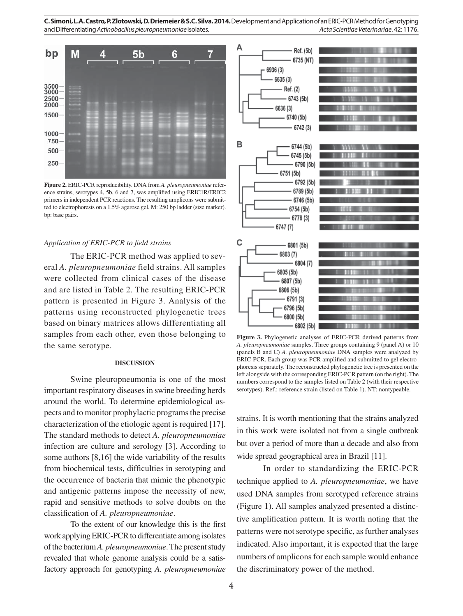**C. Simoni, L.A. Castro, P. Zlotowski, D. Driemeier & S.C. Silva. 2014.** Development and Application of an ERIC-PCR Method for Genotyping and Differentiating Actinobacillus pleuropneumoniae Isolates. Acta Scientiae Veterinariae. 42: 1176.



**Figure 2.** ERIC-PCR reproducibility. DNA from *A. pleuropneumoniae* reference strains, serotypes 4, 5b, 6 and 7, was amplified using ERIC1R/ERIC2 primers in independent PCR reactions. The resulting amplicons were submitted to electrophoresis on a 1.5% agarose gel. M: 250 bp ladder (size marker). bp: base pairs.

#### Application of ERIC-PCR to field strains

The ERIC-PCR method was applied to several *A. pleuropneumoniae* field strains. All samples were collected from clinical cases of the disease and are listed in Table 2. The resulting ERIC-PCR pattern is presented in Figure 3. Analysis of the patterns using reconstructed phylogenetic trees based on binary matrices allows differentiating all samples from each other, even those belonging to the same serotype.

#### **DISCUSSION**

Swine pleuropneumonia is one of the most important respiratory diseases in swine breeding herds around the world. To determine epidemiological aspects and to monitor prophylactic programs the precise characterization of the etiologic agent is required [17]. The standard methods to detect *A. pleuropneumoniae* infection are culture and serology [3]. According to some authors [8,16] the wide variability of the results from biochemical tests, difficulties in serotyping and the occurrence of bacteria that mimic the phenotypic and antigenic patterns impose the necessity of new, rapid and sensitive methods to solve doubts on the classification of *A. pleuropneumoniae*.

To the extent of our knowledge this is the first work applying ERIC-PCR to differentiate among isolates of the bacterium *A. pleuropneumoniae*. The present study revealed that whole genome analysis could be a satisfactory approach for genotyping *A. pleuropneumoniae*



**Figure 3.** Phylogenetic analyses of ERIC-PCR derived patterns from *A. pleuropneumoniae* samples. Three groups containing 9 (panel A) or 10 (panels B and C) *A. pleuropneumoniae* DNA samples were analyzed by ERIC-PCR. Each group was PCR amplified and submitted to gel electrophoresis separately. The reconstructed phylogenetic tree is presented on the left alongside with the corresponding ERIC-PCR pattern (on the right). The numbers correspond to the samples listed on Table 2 (with their respective serotypes). Ref.: reference strain (listed on Table 1). NT: nontypeable.

strains. It is worth mentioning that the strains analyzed in this work were isolated not from a single outbreak but over a period of more than a decade and also from wide spread geographical area in Brazil [11].

In order to standardizing the ERIC-PCR technique applied to *A. pleuropneumoniae*, we have used DNA samples from serotyped reference strains (Figure 1). All samples analyzed presented a distinctive amplification pattern. It is worth noting that the patterns were not serotype specific, as further analyses indicated. Also important, it is expected that the large numbers of amplicons for each sample would enhance the discriminatory power of the method.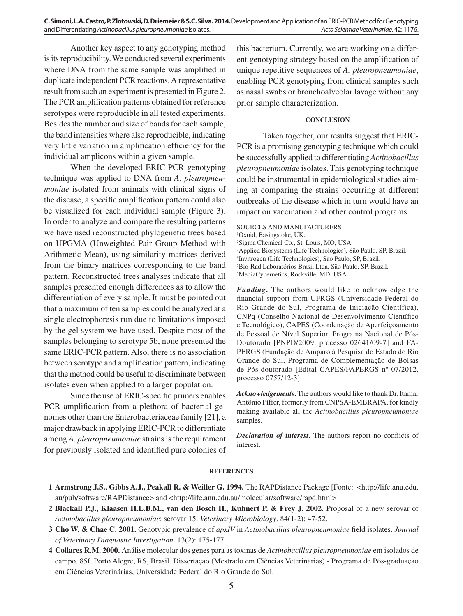Another key aspect to any genotyping method is its reproducibility. We conducted several experiments where DNA from the same sample was amplified in duplicate independent PCR reactions. A representative result from such an experiment is presented in Figure 2. The PCR amplification patterns obtained for reference serotypes were reproducible in all tested experiments. Besides the number and size of bands for each sample, the band intensities where also reproducible, indicating very little variation in amplification efficiency for the individual amplicons within a given sample.

When the developed ERIC-PCR genotyping technique was applied to DNA from *A. pleuropneumoniae* isolated from animals with clinical signs of the disease, a specific amplification pattern could also be visualized for each individual sample (Figure 3). In order to analyze and compare the resulting patterns we have used reconstructed phylogenetic trees based on UPGMA (Unweighted Pair Group Method with Arithmetic Mean), using similarity matrices derived from the binary matrices corresponding to the band pattern. Reconstructed trees analyses indicate that all samples presented enough differences as to allow the differentiation of every sample. It must be pointed out that a maximum of ten samples could be analyzed at a single electrophoresis run due to limitations imposed by the gel system we have used. Despite most of the samples belonging to serotype 5b, none presented the same ERIC-PCR pattern. Also, there is no association between serotype and amplification pattern, indicating that the method could be useful to discriminate between isolates even when applied to a larger population.

Since the use of ERIC-specific primers enables PCR amplification from a plethora of bacterial genomes other than the Enterobacteriaceae family [21], a major drawback in applying ERIC-PCR to differentiate among *A. pleuropneumoniae* strains is the requirement for previously isolated and identified pure colonies of

this bacterium. Currently, we are working on a different genotyping strategy based on the amplification of unique repetitive sequences of *A. pleuropneumoniae*, enabling PCR genotyping from clinical samples such as nasal swabs or bronchoalveolar lavage without any prior sample characterization.

## **CONCLUSION**

Taken together, our results suggest that ERIC-PCR is a promising genotyping technique which could be successfully applied to differentiating *Actinobacillus pleuropneumoniae* isolates. This genotyping technique could be instrumental in epidemiological studies aiming at comparing the strains occurring at different outbreaks of the disease which in turn would have an impact on vaccination and other control programs.

SOURCES AND MANUFACTURERS Oxoid, Basingstoke, UK. Sigma Chemical Co., St. Louis, MO, USA. Applied Biosystems (Life Technologies), São Paulo, SP, Brazil. Invitrogen (Life Technologies), São Paulo, SP, Brazil. Bio-Rad Laboratórios Brasil Ltda, São Paulo, SP, Brazil. MediaCybernetics, Rockville, MD, USA.

*Funding***.** The authors would like to acknowledge the financial support from UFRGS (Universidade Federal do Rio Grande do Sul, Programa de Iniciação Científica), CNPq (Conselho Nacional de Desenvolvimento Científico e Tecnológico), CAPES (Coordenação de Aperfeiçoamento de Pessoal de Nível Superior, Programa Nacional de Pós-Doutorado [PNPD/2009, processo 02641/09-7] and FA-PERGS (Fundação de Amparo à Pesquisa do Estado do Rio Grande do Sul, Programa de Complementação de Bolsas de Pós-doutorado [Edital CAPES/FAPERGS nº 07/2012, processo 0757/12-3].

*Acknowledgements***.** The authors would like to thank Dr. Itamar Antônio Píffer, formerly from CNPSA-EMBRAPA, for kindly making available all the *Actinobacillus pleuropneumoniae*  samples.

*Declaration of interest*. The authors report no conflicts of interest.

## **REFERENCES**

- **2 Blackall P.J., Klaasen H.L.B.M., van den Bosch H., Kuhnert P. & Frey J. 2002.** Proposal of a new serovar of *Actinobacillus pleuropneumoniae*: serovar 15. *Veterinary Microbiology*. 84(1-2): 47-52.
- **3 Cho W. & Chae C. 2001.** Genotypic prevalence of *apxIV* in *Actinobacillus pleuropneumoniae* field isolates. *Journal of Veterinary Diagnostic Investigation*. 13(2): 175-177.
- **4 Collares R.M. 2000.** Análise molecular dos genes para as toxinas de *Actinobacillus pleuropneumoniae* em isolados de campo. 85f. Porto Alegre, RS, Brasil. Dissertação (Mestrado em Ciências Veterinárias) - Programa de Pós-graduação em Ciências Veterinárias, Universidade Federal do Rio Grande do Sul.

**<sup>1</sup> Armstrong J.S., Gibbs A.J., Peakall R. & Weiller G. 1994.** The RAPDistance Package [Fonte: <http://life.anu.edu. au/pub/software/RAPDistance> and <http://life.anu.edu.au/molecular/software/rapd.html>].